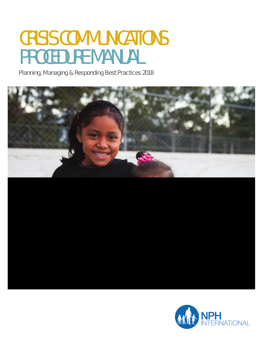# CRISIS COMMUNICATIONS PROCEDURE MANUAL

Planning, Managing & Responding Best Practices 2018

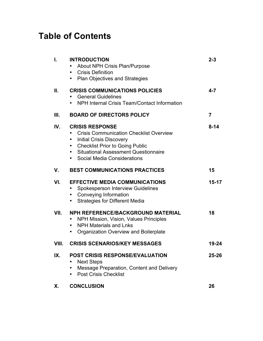# **Table of Contents**

| L     | <b>INTRODUCTION</b><br>About NPH Crisis Plan/Purpose<br>• Crisis Definition<br>• Plan Objectives and Strategies                                                                                                                                            | $2 - 3$        |
|-------|------------------------------------------------------------------------------------------------------------------------------------------------------------------------------------------------------------------------------------------------------------|----------------|
| Ш.    | <b>CRISIS COMMUNICATIONS POLICIES</b><br><b>General Guidelines</b><br>• NPH Internal Crisis Team/Contact Information                                                                                                                                       | $4 - 7$        |
| III.  | <b>BOARD OF DIRECTORS POLICY</b>                                                                                                                                                                                                                           | $\overline{7}$ |
| IV.   | <b>CRISIS RESPONSE</b><br><b>Crisis Communication Checklist Overview</b><br><b>Initial Crisis Discovery</b><br>$\bullet$<br><b>Checklist Prior to Going Public</b><br>$\bullet$<br>• Situational Assessment Questionnaire<br>• Social Media Considerations | $8 - 14$       |
| V.    | <b>BEST COMMUNICATIONS PRACTICES</b>                                                                                                                                                                                                                       | 15             |
| VI.   | <b>EFFECTIVE MEDIA COMMUNICATIONS</b><br><b>Spokesperson Interview Guidelines</b><br>• Conveying Information<br><b>Strategies for Different Media</b><br>$\bullet$                                                                                         | $15 - 17$      |
| VII.  | NPH REFERENCE/BACKGROUND MATERIAL<br>NPH Mission, Vision, Values Principles<br><b>NPH Materials and Lnks</b><br>$\bullet$<br>Organization Overview and Boilerplate<br>$\bullet$                                                                            | 18             |
| VIII. | <b>CRISIS SCENARIOS/KEY MESSAGES</b>                                                                                                                                                                                                                       | 19-24          |
| IX.   | <b>POST CRISIS RESPONSE/EVALUATION</b><br><b>Next Steps</b><br>Message Preparation, Content and Delivery<br><b>Post Crisis Checklist</b>                                                                                                                   | 25-26          |
| Х.    | <b>CONCLUSION</b>                                                                                                                                                                                                                                          | 26             |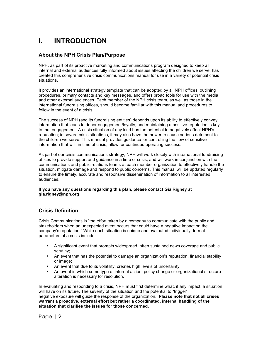# **I. INTRODUCTION**

# **About the NPH Crisis Plan/Purpose**

NPH, as part of its proactive marketing and communications program designed to keep all internal and external audiences fully informed about issues affecting the children we serve, has created this comprehensive crisis communications manual for use in a variety of potential crisis situations.

It provides an international strategy template that can be adopted by all NPH offices, outlining procedures, primary contacts and key messages, and offers broad tools for use with the media and other external audiences. Each member of the NPH crisis team, as well as those in the international fundraising offices, should become familiar with this manual and procedures to follow in the event of a crisis.

The success of NPH (and its fundraising entities) depends upon its ability to effectively convey information that leads to donor engagement/loyalty, and maintaining a positive reputation is key to that engagement. A crisis situation of any kind has the potential to negatively affect NPH's reputation; in severe crisis situations, it may also have the power to cause serious detriment to the children we serve. This manual provides guidance for controlling the flow of sensitive information that will, in time of crisis, allow for continued operating success.

As part of our crisis communications strategy, NPH will work closely with international fundraising offices to provide support and guidance in a time of crisis, and will work in conjunction with the communications and public relations teams at each member organization to effectively handle the situation, mitigate damage and respond to public concerns. This manual will be updated regularly to ensure the timely, accurate and responsive dissemination of information to all interested audiences.

#### **If you have any questions regarding this plan, please contact Gia Rigney at gia.rigney@nph.org**

# **Crisis Definition**

Crisis Communications is "the effort taken by a company to communicate with the public and stakeholders when an unexpected event occurs that could have a negative impact on the company's reputation." While each situation is unique and evaluated individually, formal parameters of a crisis include:

- A significant event that prompts widespread, often sustained news coverage and public scrutiny;
- An event that has the potential to damage an organization's reputation, financial stability or image;
- An event that due to its volatility, creates high levels of uncertainty;
- An event in which some type of internal action, policy change or organizational structure alteration is necessary for resolution.

In evaluating and responding to a crisis, NPH must first determine what, if any impact, a situation will have on its future. The severity of the situation and the potential to "trigger" negative exposure will guide the response of the organization. **Please note that not all crises warrant a proactive, external effort but rather a coordinated, internal handling of the situation that clarifies the issues for those concerned.**

Page | 2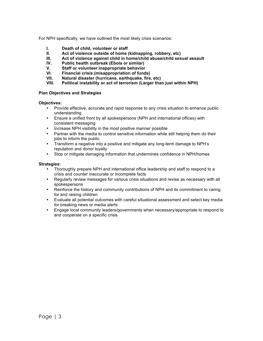For NPH specifically, we have outlined the most likely crisis scenarios:

- **I. Death of child, volunteer or staff**
- **II. Act of violence outside of home (kidnapping, robbery, etc)**
- **III. Act of violence against child in home/child abuse/child sexual assault**
- **IV. Public health outbreak (Ebola or similar)**
- **V. Staff or volunteer inappropriate behavior**
- **VI. Financial crisis (misappropriation of funds)**
- **VII. Natural disaster (hurricane, earthquake, fire, etc)**
- **VIII. Political instability or act of terrorism (Larger than just within NPH)**

#### **Plan Objectives and Strategies**

#### **Objectives:**

- Provide effective, accurate and rapid response to any crisis situation to enhance public understanding
- Ensure a unified front by all spokespersons (NPH and international offices) with consistent messaging
- Increase NPH visibility in the most positive manner possible
- Partner with the media to control sensitive information while still helping them do their jobs to inform the public
- Transform a negative into a positive and mitigate any long-term damage to NPH's reputation and donor loyalty
- Stop or mitigate damaging information that undermines confidence in NPH/homes

#### **Strategies:**

- Thoroughly prepare NPH and international office leadership and staff to respond to a crisis and counter inaccurate or incomplete facts
- Regularly review messages for various crisis situations and revise as necessary with all spokespersons
- Reinforce the history and community contributions of NPH and its commitment to caring for and raising children
- Evaluate all potential outcomes with careful situational assessment and select key media for breaking news or media alerts
- Engage local community leaders/governments when necessary/appropriate to respond to and cooperate on a specific crisis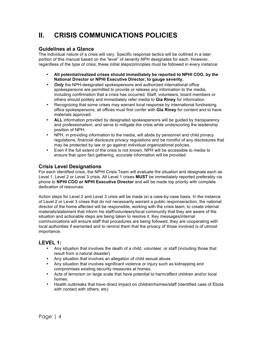# **II. CRISIS COMMUNICATIONS POLICIES**

## **Guidelines at a Glance**

The individual nature of a crisis will vary. Specific response tactics will be outlined in a later portion of this manual based on the "level" of severity NPH designates for each. However, regardless of the type of crisis, these initial steps/principles must be followed in every instance:

- **All potential/realized crises should immediately be reported to NPHI COO, by the National Director or NPHI Executive Director, to gauge severity.**
- *Only* the NPH-designated spokespersons and authorized international office spokespersons are permitted to provide or release any information to the media, including confirmation that a crisis has occurred. Staff, volunteers, board members or others should politely and immediately refer media to **Gia Riney** for information.
- Recognizing that some crises may warrant local response by international fundraising office spokespersons, all offices must first confer with **Gia Riney** for content and to have materials approved.
- **ALL** information provided by designated spokespersons will be guided by transparency and professionalism, and serve to mitigate the crisis while underscoring the leadership position of NPH.
- NPH, in providing information to the media, will abide by personnel and child privacy regulations, financial disclosure privacy regulations and be mindful of any disclosures that may be protected by law or go against individual organizational policies.
- Even if the full extent of the crisis is not known, NPH will be accessible to media to ensure that upon fact gathering, accurate information will be provided.

## **Crisis Level Designations**

For each identified crisis, the NPHI Crisis Team will evaluate the situation and designate each as Level 1, Level 2 or Level 3 crisis. All Level 1 crises **MUST** be immediately reported preferably via phone to **NPHI COO or NPHI Executive Director** and will be made top priority with complete dedication of resources.

Action steps for Level 2 and Level 3 crisis will be made on a case-by-case basis. In the instance of Level 2 or Level 3 crises that do not necessarily warrant a public response/action, the national director of the home affected will be responsible, working with the crisis team, to create internal materials/statement that inform his staff/volunteers/local community that they are aware of the situation and actionable steps are being taken to resolve it. Key messages/internal communications will ensure staff that procedures are being followed, they are cooperating with local authorities if warranted and to remind them that the privacy of those involved is of utmost importance.

## **LEVEL 1:**

- Any situation that involves the death of a child, volunteer, or staff (including those that result from a natural disaster)
- Any situation that involves an allegation of child sexual abuse
- Any situation that involves significant violence or injury such as kidnapping and compromises existing security measures at homes.
- Acts of terrorism on large scale that have potential to harm/affect children and/or local homes.
- Health outbreaks that have direct impact on children/homes/staff (identified case of Ebola with contact with others, etc)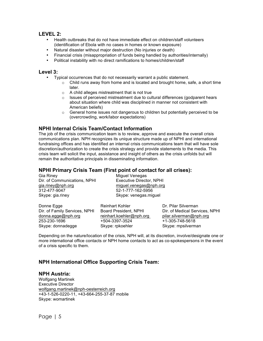#### **LEVEL 2:**

- Health outbreaks that do not have immediate effect on children/staff volunteers (identification of Ebola with no cases in homes or known exposure)
- Natural disaster without major destruction (No injuries or death)
- Financial crisis (misappropriation of funds being handled by authorities/internally)
- Political instability with no direct ramifications to homes/children/staff

#### **Level 3:**

- Typical occurrences that do not necessarily warrant a public statement.
	- $\circ$  Child runs away from home and is located and brought home, safe, a short time later.
	- o A child alleges mistreatment that is not true
	- o Issues of perceived mistreatment due to cultural differences (godparent hears about situation where child was disciplined in manner not consistent with American beliefs)
	- $\circ$  General home issues not dangerous to children but potentially perceived to be (overcrowding, work/labor expectations)

#### **NPHI Internal Crisis Team/Contact Information**

The job of the crisis communication team is to review, approve and execute the overall crisis communications plan. NPH recognizes its unique structure made up of NPHI and international fundraising offices and has identified an internal crisis communications team that will have sole discretion/authorization to create the crisis strategy and provide statements to the media. This crisis team will solicit the input, assistance and insight of others as the crisis unfolds but will remain the authoritative principals in disseminating information.

### **NPHI Primary Crisis Team (First point of contact for all crises):**

253-230-1696 +504-3397-3524 +1-305-748-5618 Skype: donnadegge Skype: rpkoehler Skype: Skype: mpsilverman

| Gia Riney<br>Dir. of Communications, NPHI | Miguel Venegas<br><b>Executive Director, NPHI</b> |                                |  |  |
|-------------------------------------------|---------------------------------------------------|--------------------------------|--|--|
| gia.riney@nph.org                         |                                                   | miguel.venegas@nph.org         |  |  |
| 312-477-9047                              | 52-1-777-162-5956                                 |                                |  |  |
| Skype: gia.riney                          | Skype: venegas.miguel                             |                                |  |  |
| Donne Egge                                | <b>Reinhart Kohler</b>                            | Dr. Pilar Silverman            |  |  |
| Dir. of Family Services, NPHI             | Board President, NPHI                             | Dir. of Medical Services, NPHI |  |  |
| donna.egge@nph.org                        | reinhart.koehler@nph.org                          | pilar.silverman@nph.org        |  |  |

Depending on the nature/location of the crisis, NPH will, at its discretion, involve/designate one or more international office contacts or NPH home contacts to act as co-spokespersons in the event of a crisis specific to them.

## **NPH International Office Supporting Crisis Team:**

#### **NPH Austria:**

Wolfgang Martinek Executive Director wolfgang.martinek@nph-oesterreich.org +43-1-526-0220-11, +43-664-255-37-87 mobile Skype: womartinek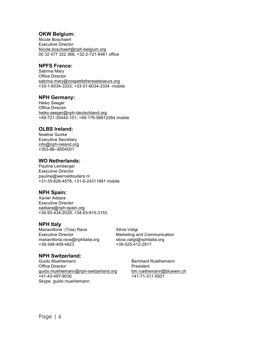#### **OKW Belgium:**

Nicole Boschaert Executive Director Nicole.boschaert@nph-belgium.org 00 32 477 322 368, +32-2-721-6461 office

#### **NPFS France:**

Sabrina Mary Office Director sabrina.mary@nospetitsfreresetsoeurs.org +33-1-6034-3333, +33-01-6034-3334 -mobile

### **NPH Germany:**

Heiko Seeger Office Director heiko.seeger@nph-deutschland.org +49-721-35440-101, +49-176-56812264 mobile

### **OLBS Ireland:**

Noeline Quirke Executive Secretary info@nph-ireland.org +353-86--8504001

### **WO Netherlands:**

Pauline Lemberger Executive Director pauline@werneldouders.nl +31-35-626-4578, +31-6-24311881 mobile

## **NPH Spain:**

Xavier Adsara Executive Director xadsara@nph-spain.org +34-93-434-2029, +34-63-915-3153

#### **NPH Italy**

Mariavittoria (Toia) Rava **Nariavittoria** (Toia) Rava Executive Director **Marketing and Communication** mariavittoria.rava@nphitalia.org silvia.valigi@nphitalia.org +39-348-409-4823 +39-025-412-2917

## **NPH Switzerland:**

Guido Muehlemann **Bernhard Ruethemann** Office Director **President** guido.muehlemann@nph-switzerland.org bm.ruethemann@bluewin.ch +41-43-497-9030 +41-71-311-5501 Skype: guido.muehlemann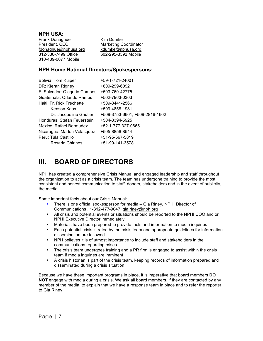#### **NPH USA:**

Frank Donaghue Kim Dumke President, CEO Marketing Coordinator<br>fdonaghue@nphusa.org kdumke@nphusa.org fdonaghue@nphusa.org 312-386-7499 Office 602-295-3392 Mobile 310-439-0077 Mobile

### **NPH Home National Directors/Spokespersons:**

| <b>Bolivia: Tom Kuiper</b>   | +59-1-721-24001                |
|------------------------------|--------------------------------|
| DR: Kieran Rigney            | +809-299-6092                  |
| El Salvador: Olegario Campos | +503-760-42775                 |
| Guatemala: Orlando Ramos     | +502-7963-0303                 |
| Haiti: Fr. Rick Frechette    | +509-3441-2566                 |
| Kenson Kaas                  | +509-4858-1981                 |
| Dr. Jacqueline Gautier       | +509-3753-6601, +509-2816-1602 |
| Honduras: Stefan Feuerstein  | +504-3394-5925                 |
| Mexico: Rafael Bermudez      | +52-1-777-327-0665             |
| Nicaragua: Marlon Velasquez  | +505-8856-8544                 |
| Peru: Tula Castillo          | +51-95-667-5819                |
| Rosario Chirinos             | +51-99-141-3578                |
|                              |                                |

# **III. BOARD OF DIRECTORS**

NPH has created a comprehensive Crisis Manual and engaged leadership and staff throughout the organization to act as a crisis team. The team has undergone training to provide the most consistent and honest communication to staff, donors, stakeholders and in the event of publicity, the media.

Some important facts about our Crisis Manual:

- There is one official spokesperson for media Gia Riney, NPHI Director of Communications , 1-312-477-9047, gia.riney@nph.org
- All crisis and potential events or situations should be reported to the NPHI COO and or NPHI Executive Director immediately
- Materials have been prepared to provide facts and information to media inquiries
- Each potential crisis is rated by the crisis team and appropriate guidelines for information dissemination are followed
- NPH believes it is of utmost importance to include staff and stakeholders in the communications regarding crises
- The crisis team undergoes training and a PR firm is engaged to assist within the crisis team if media inquiries are imminent
- A crisis historian is part of the crisis team, keeping records of information prepared and disseminated during a crisis situation

Because we have these important programs in place, it is imperative that board members **DO NOT** engage with media during a crisis. We ask all board members, if they are contacted by any member of the media, to explain that we have a response team in place and to refer the reporter to Gia Riney.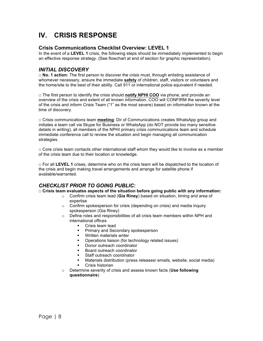# **IV. CRISIS RESPONSE**

# **Crisis Communications Checklist Overview: LEVEL 1**

In the event of a **LEVEL 1** crisis, the following steps should be immediately implemented to begin an effective response strategy. (See flowchart at end of section for graphic representation).

# *INITIAL DISCOVERY*

**□ No. 1 action:** The first person to discover the crisis must, through enlisting assistance of whomever necessary, ensure the immediate **safety** of children, staff, visitors or volunteers and the home/site to the best of their ability. Call 911 or international police equivalent if needed.

**□** The first person to identify the crisis should **notify NPHI COO** via phone, and provide an overview of the crisis and extent of all known information. COO will CONFIRM the severity level of the crisis and inform Crisis Team ("1" as the most severe) based on information known at the time of discovery.

**□** Crisis communications team **meeting**: Dir of Communications creates WhatsApp group and initiates a team call via Skype for Business or WhatsApp (do NOT provide too many sensitive details in writing), all members of the NPHI primary crisis communications team and schedule immediate conference call to review the situation and begin managing all communication strategies.

**□** Core crisis team contacts other international staff whom they would like to involve as a member of the crisis team due to their location or knowledge.

**□** For all **LEVEL 1** crises, determine who on the crisis team will be dispatched to the location of the crisis and begin making travel arrangements and arrange for satellite phone if available/warranted.

# *CHECKLIST PRIOR TO GOING PUBLIC:*

**□ Crisis team evaluates aspects of the situation before going public with any information:**

- o Confirm crisis team lead (**Gia Riney**) based on situation, timing and area of expertise
- o Confirm spokesperson for crisis (depending on crisis) and media inquiry spokesperson (Gia Riney)
- o Define roles and responsibilities of all crisis team members within NPH and international offices
	- § Crisis team lead
	- § Primary and Secondary spokesperson
	- **•** Written materials writer
	- § Operations liaison (for technology related issues)
	- Donor outreach coordinator
	- § Board outreach coordinator
	- § Staff outreach coordinator
	- Materials distribution (press releases/ emails, website, social media)
	- § Crisis historian
- o Determine severity of crisis and assess known facts (**Use following questionnaire**)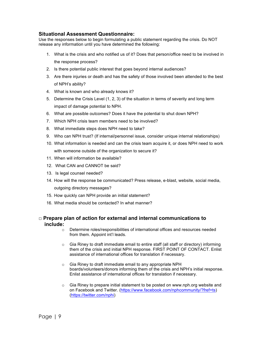## **Situational Assessment Questionnaire:**

Use the responses below to begin formulating a public statement regarding the crisis. Do NOT release any information until you have determined the following:

- 1. What is the crisis and who notified us of it? Does that person/office need to be involved in the response process?
- 2. Is there potential public interest that goes beyond internal audiences?
- 3. Are there injuries or death and has the safety of those involved been attended to the best of NPH's ability?
- 4. What is known and who already knows it?
- 5. Determine the Crisis Level (1, 2, 3) of the situation in terms of severity and long term impact of damage potential to NPH.
- 6. What are possible outcomes? Does it have the potential to shut down NPH?
- 7. Which NPH crisis team members need to be involved?
- 8. What immediate steps does NPH need to take?
- 9. Who can NPH trust? (If internal/personnel issue, consider unique internal relationships)
- 10. What information is needed and can the crisis team acquire it, or does NPH need to work with someone outside of the organization to secure it?
- 11. When will information be available?
- 12. What CAN and CANNOT be said?
- 13. Is legal counsel needed?
- 14. How will the response be communicated? Press release, e-blast, website, social media, outgoing directory messages?
- 15. How quickly can NPH provide an initial statement?
- 16. What media should be contacted? In what manner?

#### **□ Prepare plan of action for external and internal communications to include:**

- o Determine roles/responsibilities of international offices and resources needed from them. Appoint int'l leads.
- $\circ$  Gia Riney to draft immediate email to entire staff (all staff or directory) informing them of the crisis and initial NPH response. FIRST POINT OF CONTACT. Enlist assistance of international offices for translation if necessary.
- o Gia Riney to draft immediate email to any appropriate NPH boards/volunteers/donors informing them of the crisis and NPH's initial response. Enlist assistance of international offices for translation if necessary.
- $\circ$  Gia Riney to prepare initial statement to be posted on www.nph.org website and on Facebook and Twitter. (https://www.facebook.com/nphcommunity/?fref=ts) (https://twitter.com/nphi)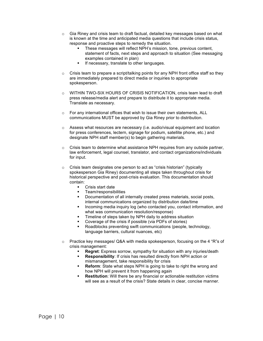- $\circ$  Gia Riney and crisis team to draft factual, detailed key messages based on what is known at the time and anticipated media questions that include crisis status, response and proactive steps to remedy the situation.
	- These messages will reflect NPH's mission, tone, previous content, statement of facts, next steps and approach to situation (See messaging examples contained in plan)
	- **•** If necessary, translate to other languages.
- $\circ$  Crisis team to prepare a script/talking points for any NPH front office staff so they are immediately prepared to direct media or inquiries to appropriate spokesperson.
- o WITHIN TWO-SIX HOURS OF CRISIS NOTIFICATION, crisis team lead to draft press release/media alert and prepare to distribute it to appropriate media. Translate as necessary.
- o For any international offices that wish to issue their own statements, ALL communications MUST be approved by Gia Riney prior to distribution.
- o Assess what resources are necessary (i.e. audio/visual equipment and location for press conferences, lectern, signage for podium, satellite phone, etc.) and designate NPH staff member(s) to begin gathering materials.
- $\circ$  Crisis team to determine what assistance NPH requires from any outside partner, law enforcement, legal counsel, translator, and contact organizations/individuals for input.
- o Crisis team designates one person to act as "crisis historian" (typically spokesperson Gia Riney) documenting all steps taken throughout crisis for historical perspective and post-crisis evaluation. This documentation should contain:
	- Crisis start date
	- § Team/responsibilities
	- § Documentation of all internally created press materials, social posts, internal communications organized by distribution date/time
	- Incoming media inquiry log (who contacted you, contact information, and what was communication resolution/response)
	- Timeline of steps taken by NPH daily to address situation
	- § Coverage of the crisis if possible (via PDFs of stories)
	- § Roadblocks preventing swift communications (people, technology, language barriers, cultural nuances, etc)
- $\circ$  Practice key messages/ Q&A with media spokesperson, focusing on the 4 "R"s of crisis management:
	- § **Regret**: Express sorrow, sympathy for situation with any injuries/death
	- § **Responsibility**: If crisis has resulted directly from NPH action or mismanagement, take responsibility for crisis
	- **Reform:** State what steps NPH is going to take to right the wrong and how NPH will prevent it from happening again
	- **Restitution:** Will there be any financial or actionable restitution victims will see as a result of the crisis? State details in clear, concise manner.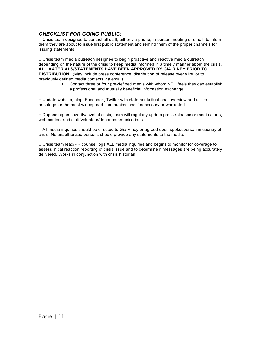# *CHECKLIST FOR GOING PUBLIC:*

**□** Crisis team designee to contact all staff, either via phone, in-person meeting or email, to inform them they are about to issue first public statement and remind them of the proper channels for issuing statements.

□ Crisis team media outreach designee to begin proactive and reactive media outreach depending on the nature of the crisis to keep media informed in a timely manner about the crisis. **ALL MATERIALS/STATEMENTS HAVE BEEN APPROVED BY GIA RINEY PRIOR TO DISTRIBUTION**. (May include press conference, distribution of release over wire, or to previously defined media contacts via email).

§ Contact three or four pre-defined media with whom NPH feels they can establish a professional and mutually beneficial information exchange.

 $\Box$  Update website, blog, Facebook, Twitter with statement/situational overview and utilize hashtags for the most widespread communications if necessary or warranted.

 $\Box$  Depending on severity/level of crisis, team will regularly update press releases or media alerts, web content and staff/volunteer/donor communications.

 $\Box$  All media inquiries should be directed to Gia Riney or agreed upon spokesperson in country of crisis. No unauthorized persons should provide any statements to the media.

 $\Box$  Crisis team lead/PR counsel logs ALL media inquiries and begins to monitor for coverage to assess initial reaction/reporting of crisis issue and to determine if messages are being accurately delivered. Works in conjunction with crisis historian.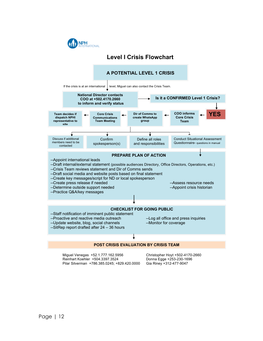

# **Level I Crisis Flowchart**



| Miquel Venegas +52.1.777.162.5956            | Christopher Hoyt +502-4170-2660 |
|----------------------------------------------|---------------------------------|
| Reinhart Koehler +504.3397.3524              | Donna Egge +253-230-1696        |
| Pilar Silverman +786.385.0245; +829.420.0000 | Gia Riney +312-477-9047         |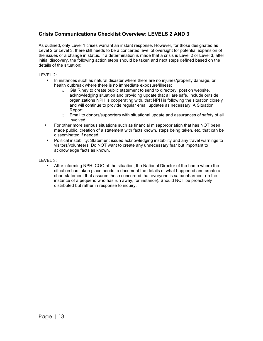# **Crisis Communications Checklist Overview: LEVELS 2 AND 3**

As outlined, only Level 1 crises warrant an instant response. However, for those designated as Level 2 or Level 3, there still needs to be a concerted level of oversight for potential expansion of the issues or a change in status. If a determination is made that a crisis is Level 2 or Level 3, after initial discovery, the following action steps should be taken and next steps defined based on the details of the situation:

#### LEVEL 2:

- In instances such as natural disaster where there are no injuries/property damage, or health outbreak where there is no immediate exposure/illness:
	- o Gia Riney to create public statement to send to directory, post on website, acknowledging situation and providing update that all are safe. Include outside organizations NPH is cooperating with, that NPH is following the situation closely and will continue to provide regular email updates as necessary. A Situation Report
	- $\circ$  Email to donors/supporters with situational update and assurances of safety of all involved.
- For other more serious situations such as financial misappropriation that has NOT been made public, creation of a statement with facts known, steps being taken, etc. that can be disseminated if needed.
- Political instability: Statement issued acknowledging instability and any travel warnings to visitors/volunteers. Do NOT want to create any unnecessary fear but important to acknowledge facts as known.

#### LEVEL 3:

• After informing NPHI COO of the situation, the National Director of the home where the situation has taken place needs to document the details of what happened and create a short statement that assures those concerned that everyone is safe/unharmed. (In the instance of a pequeño who has run away, for instance). Should NOT be proactively distributed but rather in response to inquiry.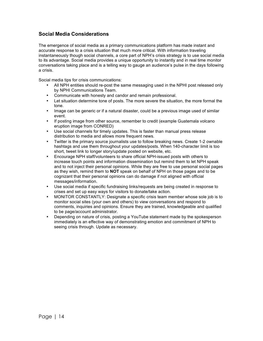# **Social Media Considerations**

The emergence of social media as a primary communications platform has made instant and accurate response to a crisis situation that much more critical. With information traveling instantaneously though social channels, a core part of NPH's crisis strategy is to use social media to its advantage. Social media provides a unique opportunity to instantly and in real time monitor conversations taking place and is a telling way to gauge an audience's pulse in the days following a crisis.

Social media tips for crisis communications:

- All NPH entities should re-post the same messaging used in the NPHI post released only by NPHI Communications Team.
- Communicate with honesty and candor and remain professional.
- Let situation determine tone of posts. The more severe the situation, the more formal the tone.
- Image can be generic or if a natural disaster, could be a previous image used of similar event.
- If posting image from other source, remember to credit (example Guatemala volcano eruption image from CONRED)
- Use social channels for timely updates. This is faster than manual press release distribution to media and allows more frequent news.
- Twitter is the primary source journalists use to follow breaking news. Create 1-2 ownable hashtags and use them throughout your updates/posts. When 140-character limit is too short, tweet link to longer story/update posted on website, etc.
- Encourage NPH staff/volunteers to share official NPH-issued posts with others to increase touch points and information dissemination but remind them to let NPH speak and to not inject their personal opinions. While they are free to use personal social pages as they wish, remind them to **NOT** speak on behalf of NPH on those pages and to be cognizant that their personal opinions can do damage if not aligned with official messages/information.
- Use social media if specific fundraising links/requests are being created in response to crises and set up easy ways for visitors to donate/take action.
- MONITOR CONSTANTLY: Designate a specific crisis team member whose sole job is to monitor social sites (your own and others) to view conversations and respond to comments, inquiries and opinions. Ensure they are trained, knowledgeable and qualified to be page/account administrator.
- Depending on nature of crisis, posting a YouTube statement made by the spokesperson immediately is an effective way of demonstrating emotion and commitment of NPH to seeing crisis through. Update as necessary.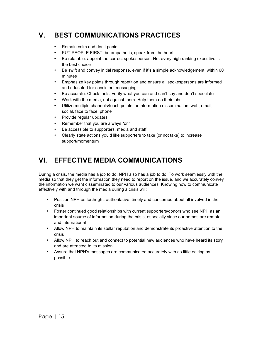# **V. BEST COMMUNICATIONS PRACTICES**

- Remain calm and don't panic
- PUT PEOPLE FIRST; be empathetic, speak from the heart
- Be relatable: appoint the correct spokesperson. Not every high ranking executive is the best choice
- Be swift and convey initial response, even if it's a simple acknowledgement, within 60 minutes
- Emphasize key points through repetition and ensure all spokespersons are informed and educated for consistent messaging
- Be accurate: Check facts, verify what you can and can't say and don't speculate
- Work with the media, not against them. Help them do their jobs.
- Utilize multiple channels/touch points for information dissemination: web, email, social, face to face, phone
- Provide regular updates
- Remember that you are always "on"
- Be accessible to supporters, media and staff
- Clearly state actions you'd like supporters to take (or not take) to increase support/momentum

# **VI. EFFECTIVE MEDIA COMMUNICATIONS**

During a crisis, the media has a job to do. NPH also has a job to do: To work seamlessly with the media so that they get the information they need to report on the issue, and we accurately convey the information we want disseminated to our various audiences. Knowing how to communicate effectively with and through the media during a crisis will:

- Position NPH as forthright, authoritative, timely and concerned about all involved in the crisis
- Foster continued good relationships with current supporters/donors who see NPH as an important source of information during the crisis, especially since our homes are remote and international
- Allow NPH to maintain its stellar reputation and demonstrate its proactive attention to the crisis
- Allow NPH to reach out and connect to potential new audiences who have heard its story and are attracted to its mission
- Assure that NPH's messages are communicated accurately with as little editing as possible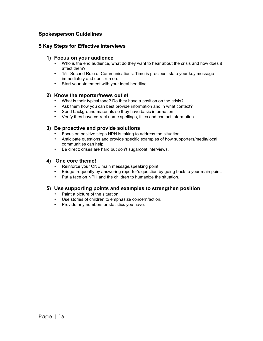# **Spokesperson Guidelines**

## **5 Key Steps for Effective Interviews**

#### **1) Focus on your audience**

- Who is the end audience, what do they want to hear about the crisis and how does it affect them?
- 15 –Second Rule of Communications: Time is precious, state your key message immediately and don't run on.
- Start your statement with your ideal headline.

#### **2) Know the reporter/news outlet**

- What is their typical tone? Do they have a position on the crisis?
- Ask them how you can best provide information and in what context?
- Send background materials so they have basic information.
- Verify they have correct name spellings, titles and contact information.

#### **3) Be proactive and provide solutions**

- 
- Focus on positive steps NPH is taking to address the situation.<br>• Anticipate questions and provide specific examples of how sup • Anticipate questions and provide specific examples of how supporters/media/local communities can help.
- Be direct: crises are hard but don't sugarcoat interviews.

#### **4) One core theme!**

- Reinforce your ONE main message/speaking point.
- Bridge frequently by answering reporter's question by going back to your main point.
- Put a face on NPH and the children to humanize the situation.

#### **5) Use supporting points and examples to strengthen position**

- Paint a picture of the situation.
- Use stories of children to emphasize concern/action.
- Provide any numbers or statistics you have.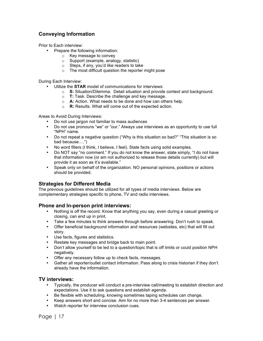# **Conveying Information**

Prior to Each interview:

- Prepare the following information:
	- o Key message to convey
	- o Support (example, analogy, statistic)
	- o Steps, if any, you'd like readers to take
	- o The most difficult question the reporter might pose

During Each Interview:

- Utilize the **STAR** model of communications for interviews:
	- o **S:** Situation/Dilemma. Detail situation and provide context and background.
	- o **T:** Task. Describe the challenge and key message.
	- o **A:** Action. What needs to be done and how can others help.
	- o **R:** Results. What will come out of the expected action.

Areas to Avoid During Interviews:

- Do not use jargon not familiar to mass audiences
- Do not use pronouns "we" or "our." Always use interviews as an opportunity to use full "NPH" name.
- Do not repeat a negative question ("Why is this situation so bad?" "This situation is so bad because….")
- No word fillers (I think, I believe, I feel). State facts using solid examples.
- Do NOT say "no comment." If you do not know the answer, state simply, "I do not have that information now (or am not authorized to release those details currently) but will provide it as soon as it's available."
- Speak only on behalf of the organization. NO personal opinions, positions or actions should be provided.

#### **Strategies for Different Media**

The previous guidelines should be utilized for all types of media interviews. Below are complementary strategies specific to phone, TV and radio interviews.

#### **Phone and In-person print interviews:**

- Nothing is off the record. Know that anything you say, even during a casual greeting or closing, can end up in print.
- Take a few minutes to think answers through before answering. Don't rush to speak.
- Offer beneficial background information and resources (websites, etc) that will fill out story.
- Use facts, figures and statistics.
- Restate key messages and bridge back to main point.
- Don't allow yourself to be led to a question/topic that is off limits or could position NPH negatively.
- Offer any necessary follow up to check facts, messages.
- Gather all reporter/outlet contact information. Pass along to crisis historian if they don't already have the information.

#### **TV interviews:**

- Typically, the producer will conduct a pre-interview call/meeting to establish direction and expectations. Use it to ask questions and establish agenda.
- Be flexible with scheduling, knowing sometimes taping schedules can change.
- Keep answers short and concise. Aim for no more than 3-4 sentences per answer.
- Watch reporter for interview conclusion cues.

Page | 17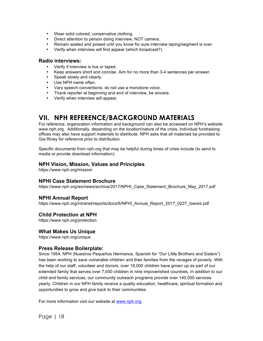- Wear solid colored, conservative clothing.
- Direct attention to person doing interview, NOT camera.
- Remain seated and poised until you know for sure interview taping/segment is over.
- Verify when interview will first appear (which broadcast?).

#### **Radio interviews:**

- Verify if interview is live or taped.
- Keep answers short and concise. Aim for no more than 3-4 sentences per answer.
- Speak slowly and clearly.
- Use NPH name often.
- Vary speech conventions: do not use a monotone voice.
- Thank reporter at beginning and end of interview, be sincere.
- Verify when interview will appear.

# **VII. NPH REFERENCE/BACKGROUND MATERIALS**

For reference, organization information and background can also be accessed on NPH's website: www.nph.org. Additionally, depending on the location/nature of the crisis, individual fundraising offices may also have support materials to distribute. NPH asks that all materials be provided to Gia Riney for reference prior to distribution.

Specific documents from nph.org that may be helpful during times of crisis include (to send to media or provide download information):

#### **NPH Vision, Mission, Values and Principles**

https://www.nph.org/mission

#### **NPHI Case Statement Brochure**

https://www.nph.org/ws/news/archive/2017/NPHI\_Case\_Statement\_Brochure\_May\_2017.pdf

#### **NPHI Annual Report**

https://www.nph.org/intranet/reports/docs/6/NPHI\_Annual\_Report\_2017\_0227\_lowres.pdf

#### **Child Protection at NPH**

https://www.nph.org/protection

#### **What Makes Us Unique**

https://www.nph.org/unique

#### **Press Release Boilerplate:**

Since 1954, NPH (Nuestros Pequeños Hermanos, Spanish for "Our Little Brothers and Sisters") has been working to save vulnerable children and their families from the ravages of poverty. With the help of our staff, volunteer and donors, over 18,000 children have grown up as part of our extended family that serves over 7,000 children in nine impoverished countries. In addition to our child and family services, our community outreach programs provide over 140,000 services yearly. Children in our NPH family receive a quality education, healthcare, spiritual formation and opportunities to grow and give back to their communities.

For more information visit our website at www.nph.org.

Page | 18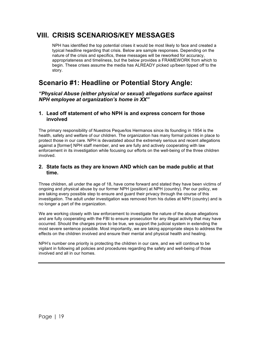# **VIII. CRISIS SCENARIOS/KEY MESSAGES**

NPH has identified the top potential crises it would be most likely to face and created a typical headline regarding that crisis. Below are sample responses. Depending on the nature of the crisis and specifics, these messages will be reworked for accuracy, appropriateness and timeliness, but the below provides a FRAMEWORK from which to begin. These crises assume the media has ALREADY picked up/been tipped off to the story.

# **Scenario #1: Headline or Potential Story Angle:**

*"Physical Abuse (either physical or sexual) allegations surface against NPH employee at organization's home in XX"*

### **1. Lead off statement of who NPH is and express concern for those involved**

The primary responsibility of Nuestros Peque*ñ*os Hermanos since its founding in 1954 is the health, safety and welfare of our children. The organization has many formal policies in place to protect those in our care. NPH is devastated about the extremely serious and recent allegations against a [former] NPH staff member, and we are fully and actively cooperating with law enforcement in its investigation while focusing our efforts on the well-being of the three children involved.

### **2. State facts as they are known AND which can be made public at that time.**

Three children, all under the age of 18, have come forward and stated they have been victims of ongoing and physical abuse by our former NPH (position) at NPH (country). Per our policy, we are taking every possible step to ensure and guard their privacy through the course of this investigation. The adult under investigation was removed from his duties at NPH (country) and is no longer a part of the organization.

We are working closely with Iaw enforcement to investigate the nature of the abuse allegations and are fully cooperating with the FBI to ensure prosecution for any illegal activity that may have occurred. Should the charges prove to be true, we support the judicial system in extending the most severe sentence possible. Most importantly, we are taking appropriate steps to address the effects on the children involved and ensure their mental and physical health and healing.

NPH's number one priority is protecting the children in our care, and we will continue to be vigilant in following all policies and procedures regarding the safety and well-being of those involved and all in our homes.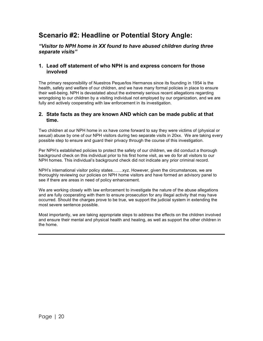# **Scenario #2: Headline or Potential Story Angle:**

*"Visitor to NPH home in XX found to have abused children during three separate visits"*

## **1. Lead off statement of who NPH is and express concern for those involved**

The primary responsibility of Nuestros Peque*ñ*os Hermanos since its founding in 1954 is the health, safety and welfare of our children, and we have many formal policies in place to ensure their well-being. NPH is devastated about the extremely serious recent allegations regarding wrongdoing to our children by a visiting individual not employed by our organization, and we are fully and actively cooperating with law enforcement in its investigation.

### **2. State facts as they are known AND which can be made public at that time.**

Two children at our NPH home in xx have come forward to say they were victims of (physical or sexual) abuse by one of our NPH visitors during two separate visits in 20xx. We are taking every possible step to ensure and guard their privacy through the course of this investigation.

Per NPH's established policies to protect the safety of our children, we did conduct a thorough background check on this individual prior to his first home visit, as we do for all visitors to our NPH homes. This individual's background check did not indicate any prior criminal record.

NPH's international visitor policy states…….xyz. However, given the circumstances, we are thoroughly reviewing our policies on NPH home visitors and have formed an advisory panel to see if there are areas in need of policy enhancement.

We are working closely with law enforcement to investigate the nature of the abuse allegations and are fully cooperating with them to ensure prosecution for any illegal activity that may have occurred. Should the charges prove to be true, we support the judicial system in extending the most severe sentence possible.

Most importantly, we are taking appropriate steps to address the effects on the children involved and ensure their mental and physical health and healing, as well as support the other children in the home.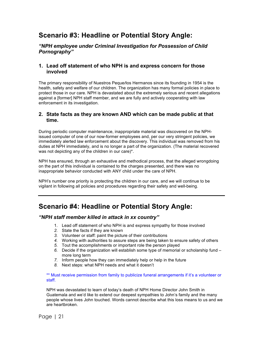# **Scenario #3: Headline or Potential Story Angle:**

### *"NPH employee under Criminal Investigation for Possession of Child Pornography"*

#### **1. Lead off statement of who NPH is and express concern for those involved**

The primary responsibility of Nuestros Peque*ñ*os Hermanos since its founding in 1954 is the health, safety and welfare of our children. The organization has many formal policies in place to protect those in our care. NPH is devastated about the extremely serious and recent allegations against a [former] NPH staff member, and we are fully and actively cooperating with law enforcement in its investigation.

#### **2. State facts as they are known AND which can be made public at that time.**

During periodic computer maintenance, inappropriate material was discovered on the NPHissued computer of one of our now-former employees and, per our very stringent policies, we immediately alerted law enforcement about the discovery. This individual was removed from his duties at NPH immediately, and is no longer a part of the organization. (The material recovered was not depicting any of the children in our care)\*.

NPH has ensured, through an exhaustive and methodical process, that the alleged wrongdoing on the part of this individual is contained to the charges presented, and there was no inappropriate behavior conducted with ANY child under the care of NPH.

NPH's number one priority is protecting the children in our care, and we will continue to be vigilant in following all policies and procedures regarding their safety and well-being.

# **Scenario #4: Headline or Potential Story Angle:**

#### *"NPH staff member killed in attack in xx country"*

- 1. Lead off statement of who NPH is and express sympathy for those involved
- *2.* State the facts if they are known
- *3.* Volunteer or staff: paint the picture of their contributions
- *4.* Working with authorities to assure steps are being taken to ensure safety of others
- *5.* Tout the accomplishments or important role the person played
- *6.* Decide if the organization will establish some type of memorial or scholarship fund more long term
- *7.* Inform people how they can immediately help or help in the future
- *8.* Next steps: what NPH needs and what it doesn't

\*\* Must receive permission from family to publicize funeral arrangements if it's a volunteer or staff.

NPH was devastated to learn of today's death of NPH Home Director John Smith in Guatemala and we'd like to extend our deepest sympathies to John's family and the many people whose lives John touched. Words cannot describe what this loss means to us and we are heartbroken.

Page | 21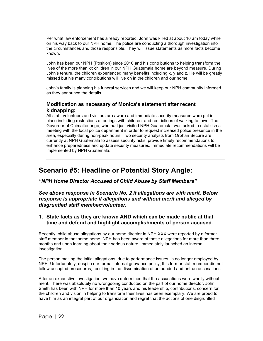Per what law enforcement has already reported, John was killed at about 10 am today while on his way back to our NPH home. The police are conducting a thorough investigation into the circumstances and those responsible. They will issue statements as more facts become known.

John has been our NPH (Position) since 2010 and his contributions to helping transform the lives of the more than xx children in our NPH Guatemala home are beyond measure. During John's tenure, the children experienced many benefits including x, y and z. He will be greatly missed but his many contributions will live on in the children and our home.

John's family is planning his funeral services and we will keep our NPH community informed as they announce the details.

#### **Modification as necessary of Monica's statement after recent kidnapping:**

All staff, volunteers and visitors are aware and immediate security measures were put in place including restrictions of outings with children, and restrictions of walking to town. The Governor of Chimaltenango, who had just visited NPH Guatemala, was asked to establish a meeting with the local police department in order to request increased police presence in the area, especially during non-peak hours. Two security analysts from Orphan Secure are currently at NPH Guatemala to assess security risks, provide timely recommendations to enhance preparedness and update security measures. Immediate recommendations will be implemented by NPH Guatemala.

# **Scenario #5: Headline or Potential Story Angle:**

*"NPH Home Director Accused of Child Abuse by Staff Members"*

*See above response in Scenario No. 2 if allegations are with merit. Below response is appropriate if allegations and without merit and alleged by disgruntled staff member/volunteer.*

### **1. State facts as they are known AND which can be made public at that time and defend and highlight accomplishments of person accused.**

Recently, child abuse allegations by our home director in NPH XXX were reported by a former staff member in that same home. NPH has been aware of these allegations for more than three months and upon learning about their serious nature, immediately launched an internal investigation.

The person making the initial allegations, due to performance issues, is no longer employed by NPH. Unfortunately, despite our formal internal grievance policy, this former staff member did not follow accepted procedures, resulting in the dissemination of unfounded and untrue accusations.

After an exhaustive investigation, we have determined that the accusations were wholly without merit. There was absolutely no wrongdoing conducted on the part of our home director. John Smith has been with NPH for more than 10 years and his leadership, contributions, concern for the children and vision in helping to transform their lives has been exemplary. We are proud to have him as an integral part of our organization and regret that the actions of one disgruntled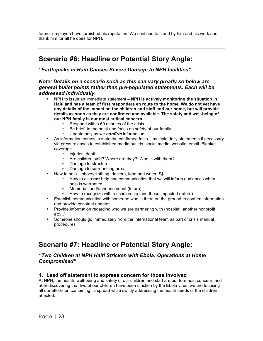former employee have tarnished his reputation. We continue to stand by him and his work and thank him for all he does for NPH.

# **Scenario #6: Headline or Potential Story Angle:**

*"Earthquake in Haiti Causes Severe Damage to NPH facilities"*

### *Note: Details on a scenario such as this can vary greatly so below are general bullet points rather than pre-populated statements. Each will be addressed individually.*

- NPH to issue an immediate statement **NPH is actively monitoring the situation in Haiti and has a team of first responders en route to the home. We do not yet have any details of the impact on the children and staff and our home, but will provide details as soon as they are confirmed and available. The safety and well-being of our NPH family is our most critical concern.** 
	- o Respond within 60 minutes of the crisis
	- $\circ$  Be brief, to the point and focus on safety of our family  $\circ$  Update only as we **confirm** information
	- Update only as we **confirm** information
- As information comes in state the confirmed facts multiple daily statements if necessary via press releases to established media outlets, social media, website, email. Blanket coverage.
	- o Injuries, death
	- o Are children safe? Where are they? Who is with them?
	- o Damage to structures
	- o Damage to surrounding area
- How to help shoes/clothing, doctors, food and water, \$\$
	- o How to also **not** help and communication that we will inform audiences when help is warranted
	- o Memorial fund/announcement (future)
	- o How to recognize with a scholarship fund those impacted (future)
- Establish communication with someone who is there on the ground to confirm information and provide constant updates.
- Provide information regarding who we are partnering with (hospital, another nonprofit, etc…)
- Someone should go immediately from the international team as part of crisis manual procedures

# **Scenario #7: Headline or Potential Story Angle:**

### *"Two Children at NPH Haiti Stricken with Ebola: Operations at Home Compromised"*

## **1. Lead off statement to express concern for those involved**

At NPH, the health, well-being and safety of our children and staff are our foremost concern, and after discovering that two of our children have been stricken by the Ebola virus, we are focusing all our efforts on containing its spread while swiftly addressing the health needs of the children affected.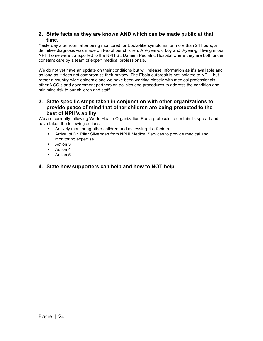#### **2. State facts as they are known AND which can be made public at that time.**

Yesterday afternoon, after being monitored for Ebola-like symptoms for more than 24 hours, a definitive diagnosis was made on two of our children. A 9-year-old boy and 6-year-girl living in our NPH home were transported to the NPH St. Damien Pediatric Hospital where they are both under constant care by a team of expert medical professionals.

We do not yet have an update on their conditions but will release information as it's available and as long as it does not compromise their privacy. The Ebola outbreak is not isolated to NPH, but rather a country-wide epidemic and we have been working closely with medical professionals, other NGO's and government partners on policies and procedures to address the condition and minimize risk to our children and staff.

## **3. State specific steps taken in conjunction with other organizations to provide peace of mind that other children are being protected to the best of NPH's ability.**

We are currently following World Health Organization Ebola protocols to contain its spread and have taken the following actions:

- Actively monitoring other children and assessing risk factors
- Arrival of Dr. Pilar Silverman from NPHI Medical Services to provide medical and monitoring expertise
- Action 3
- Action 4
- Action 5

## **4. State how supporters can help and how to NOT help.**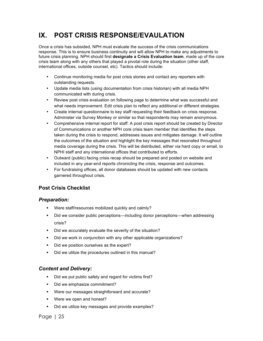# **IX. POST CRISIS RESPONSE/EVAULATION**

Once a crisis has subsided, NPH must evaluate the success of the crisis communications response. This is to ensure business continuity and will allow NPH to make any adjustments to future crisis planning. NPH should first **designate a Crisis Evaluation team**, made up of the core crisis team along with any others that played a pivotal role during the situation (other staff, international offices, outside counsel, etc). Tactics should include:

- Continue monitoring media for post crisis stories and contact any reporters with outstanding requests.
- Update media lists (using documentation from crisis historian) with all media NPH communicated with during crisis.
- Review post crisis evaluation on following page to determine what was successful and what needs improvement. Edit crisis plan to reflect any additional or different strategies.
- Create internal questionnaire to key staff requesting their feedback on crisis response. Administer via Survey Monkey or similar so that respondents may remain anonymous.
- Comprehensive internal report for staff: A post crisis report should be created by Director of Communications or another NPH core crisis team member that identifies the steps taken during the crisis to respond, addresses issues and mitigates damage. It will outline the outcomes of the situation and highlight the key messages that resonated throughout media coverage during the crisis. This will be distributed, either via hard copy or email, to NPHI staff and any international offices that contributed to efforts.
- Outward (public) facing crisis recap should be prepared and posted on website and included in any year-end reports chronicling the crisis, response and outcomes.
- For fundraising offices, all donor databases should be updated with new contacts garnered throughout crisis.

# **Post Crisis Checklist**

## *Preparation:*

- § Were staff/resources mobilized quickly and calmly?
- Did we consider public perceptions—including donor perceptions—when addressing crisis?
- Did we accurately evaluate the severity of the situation?
- Did we work in conjunction with any other applicable organizations?
- Did we position ourselves as the expert?
- § Did we utilize the procedures outlined in this manual?

## *Content and Delivery:*

- Did we put public safety and regard for victims first?
- Did we emphasize commitment?
- Were our messages straightforward and accurate?
- § Were we open and honest?
- Did we utilize key messages and provide examples?